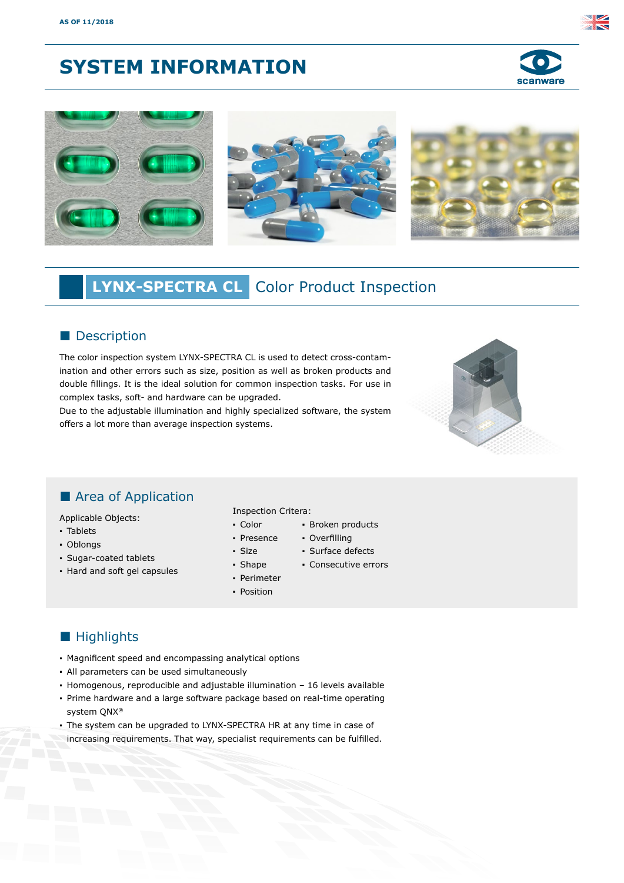# **SYSTEM INFORMATION**





# **LYNX-SPECTRA CL** Color Product Inspection

## **Description**

The color inspection system LYNX-SPECTRA CL is used to detect cross-contamination and other errors such as size, position as well as broken products and double fillings. It is the ideal solution for common inspection tasks. For use in complex tasks, soft- and hardware can be upgraded.

Due to the adjustable illumination and highly specialized software, the system offers a lot more than average inspection systems.



# **Area of Application**

Applicable Objects:

- Tablets
- Oblongs
- Sugar-coated tablets
- Hard and soft gel capsules

#### Inspection Critera:

- Color ▪ Broken products
- Presence ▪ Overfilling
	- Surface defects
	- Consecutive errors
- Shape ▪ Perimeter
- Position

▪ Size

# **Highlights**

- Magnificent speed and encompassing analytical options
- All parameters can be used simultaneously
- Homogenous, reproducible and adjustable illumination 16 levels available
- Prime hardware and a large software package based on real-time operating system QNX®
- The system can be upgraded to LYNX-SPECTRA HR at any time in case of increasing requirements. That way, specialist requirements can be fulfilled.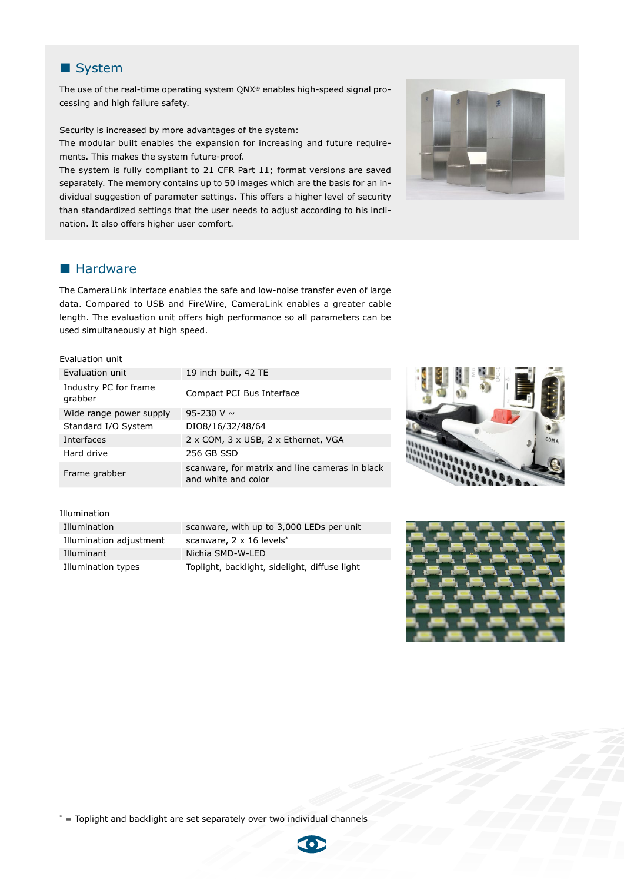

The use of the real-time operating system QNX® enables high-speed signal processing and high failure safety.

Security is increased by more advantages of the system:

The modular built enables the expansion for increasing and future requirements. This makes the system future-proof.

The system is fully compliant to 21 CFR Part 11; format versions are saved separately. The memory contains up to 50 images which are the basis for an individual suggestion of parameter settings. This offers a higher level of security than standardized settings that the user needs to adjust according to his inclination. It also offers higher user comfort.



## **Hardware**

The CameraLink interface enables the safe and low-noise transfer even of large data. Compared to USB and FireWire, CameraLink enables a greater cable length. The evaluation unit offers high performance so all parameters can be used simultaneously at high speed.

#### Evaluation unit

| Evaluation unit                  | 19 inch built, 42 TE                                                  |
|----------------------------------|-----------------------------------------------------------------------|
| Industry PC for frame<br>grabber | Compact PCI Bus Interface                                             |
| Wide range power supply          | 95-230 V $\sim$                                                       |
| Standard I/O System              | DIO8/16/32/48/64                                                      |
| Interfaces                       | 2 x COM, 3 x USB, 2 x Ethernet, VGA                                   |
| Hard drive                       | 256 GB SSD                                                            |
| Frame grabber                    | scanware, for matrix and line cameras in black<br>and white and color |



#### Illumination

| Illumination            | scany  |
|-------------------------|--------|
| Illumination adjustment | scany  |
| Illuminant              | Nichia |
| Illumination types      | Toplic |

vare, with up to 3,000 LEDs per unit  $\textsf{ware}, 2 \times 16$  levels\* a SMD-W-LED Iht, backlight, sidelight, diffuse light,



\* = Toplight and backlight are set separately over two individual channels

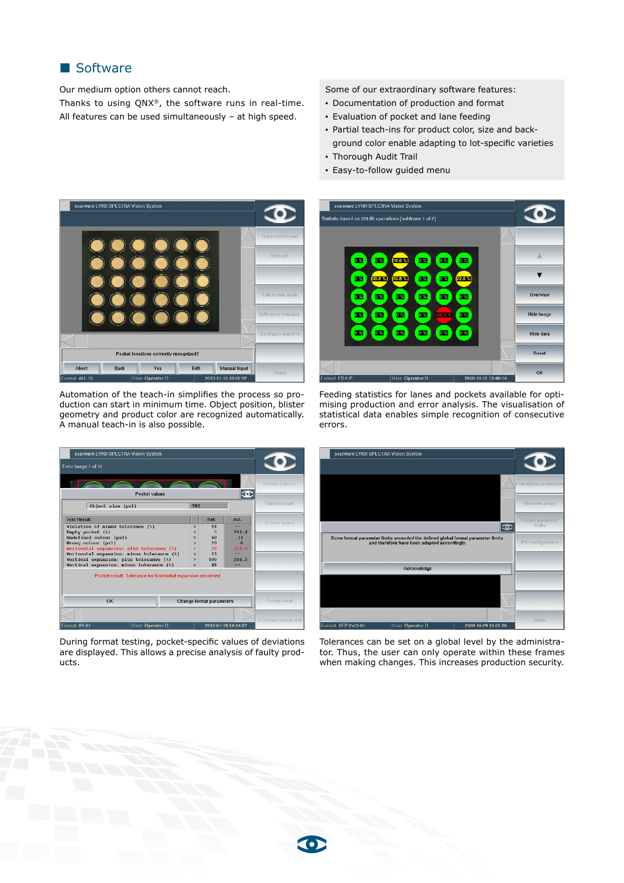## Software

Our medium option others cannot reach.

Thanks to using QNX®, the software runs in real-time. All features can be used simultaneously – at high speed.

Some of our extraordinary software features:

- Documentation of production and format
- Evaluation of pocket and lane feeding
- Partial teach-ins for product color, size and background color enable adapting to lot-specific varieties
- Thorough Audit Trail
- Easy-to-follow guided menu



Automation of the teach-in simplifies the process so production can start in minimum time. Object position, blister geometry and product color are recognized automatically. A manual teach-in is also possible.

| scanware LYNX-SPLCIRA Vision System                                                                                                                                                                                                                                                                                                              |                                                                                                                            |                                              |                                                      |                       |
|--------------------------------------------------------------------------------------------------------------------------------------------------------------------------------------------------------------------------------------------------------------------------------------------------------------------------------------------------|----------------------------------------------------------------------------------------------------------------------------|----------------------------------------------|------------------------------------------------------|-----------------------|
| Error image 1 of 10                                                                                                                                                                                                                                                                                                                              |                                                                                                                            |                                              |                                                      |                       |
|                                                                                                                                                                                                                                                                                                                                                  |                                                                                                                            |                                              |                                                      | Format colours        |
| Pocket values                                                                                                                                                                                                                                                                                                                                    |                                                                                                                            |                                              |                                                      |                       |
| Object size (pxl)                                                                                                                                                                                                                                                                                                                                | 703                                                                                                                        |                                              |                                                      | <b>Function test</b>  |
| <b>Test Hesult</b>                                                                                                                                                                                                                                                                                                                               |                                                                                                                            | Hef.                                         | Act.                                                 | Colour space          |
| Violation of minus tolorance (%)<br>Empty pocket (%)<br>Undefined colour (pxl)<br>Wrong colour (pxl)<br>Horizontal expansion: plus tolerance (%)<br>Horizontal expansion: minus tolerance (%)<br>Vertical expansion: plus tolerance (%)<br>Vertical expansion: minus tolerance (%)<br>Pocket result: Tolerance for horizontal expansion exceeded | $\rightarrow$<br>$\epsilon$<br>$\rightarrow$<br>$\rightarrow$<br>$\geq$<br>$\rightarrow$<br>$\rightarrow$<br>$\rightarrow$ | 99<br>п<br>60<br>20<br>20<br>13<br>500<br>6A | --<br>283A<br>31<br>$\Omega$<br>125.0<br>206.3<br>-- |                       |
| OK<br>Change format parameters                                                                                                                                                                                                                                                                                                                   |                                                                                                                            |                                              | Format mask                                          |                       |
| <b>Format XY-01</b><br>User Operator D                                                                                                                                                                                                                                                                                                           |                                                                                                                            |                                              | 2010-01-19 14:14:27                                  | Terminate format test |

During format testing, pocket-specific values of deviations are displayed. This allows a precise analysis of faulty products.







Tolerances can be set on a global level by the administrator. Thus, the user can only operate within these frames when making changes. This increases production security.